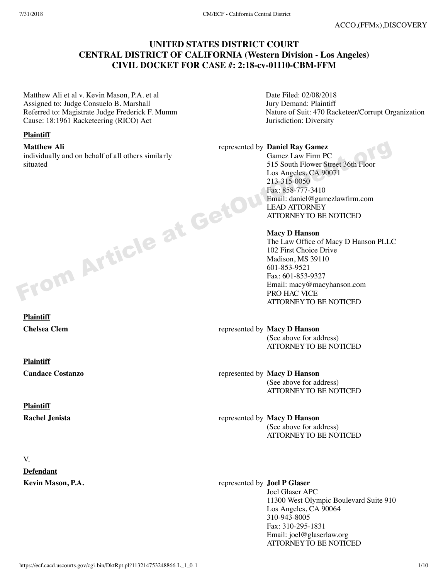# **UNITED STATES DISTRICT COURT CENTRAL DISTRICT OF CALIFORNIA (Western Division - Los Angeles) CIVIL DOCKET FOR CASE #: 2:18-cv-01110-CBM-FFM**

Matthew Ali et al v. Kevin Mason, P.A. et al Assigned to: Judge Consuelo B. Marshall Referred to: Magistrate Judge Frederick F. Mumm Cause: 18:1961 Racketeering (RICO) Act

#### **Plaintiff**

**Matthew Ali**

individually and on behalf of all others similarly situated

Date Filed: 02/08/2018 Jury Demand: Plaintiff Nature of Suit: 470 Racketeer/Corrupt Organization Jurisdiction: Diversity

# represented by **Daniel Ray Gamez**

Gamez Law Firm PC 515 South Flower Street 36th Floor Los Angeles, CA 90071 213-315-0050 Fax: 858-777-3410 Email: daniel@gamezlawfirm.com LEAD ATTORNEY ATTORNEY TO BE NOTICED

#### **Macy D Hanson**

The Law Office of Macy D Hanson PLLC 102 First Choice Drive Madison, MS 39110 601-853-9521 Fax: 601-853-9327 Email: macy@macyhanson.com PRO HAC VICE ATTORNEY TO BE NOTICED

**Chelsea Clem** represented by **Macy D Hanson**  (See above for address) ATTORNEY TO BE NOTICED

**Candace Costanzo** represented by **Macy D Hanson**  (See above for address) ATTORNEY TO BE NOTICED

**Rachel Jenista** represented by **Macy D Hanson**  (See above for address) ATTORNEY TO BE NOTICED

**Kevin Mason, P.A. represented by Joel P Glaser** *Colle* **<b>R** Joel Glaser APC 11300 West Olympic Boulevard Suite 910 Los Angeles, CA 90064 310-943-8005 Fax: 310-295-1831 Email: joel@glaserlaw.org ATTORNEY TO BE NOTICED

**Plaintiff** From Article at GetOut

**Plaintiff**

**Plaintiff**

V.

**Defendant**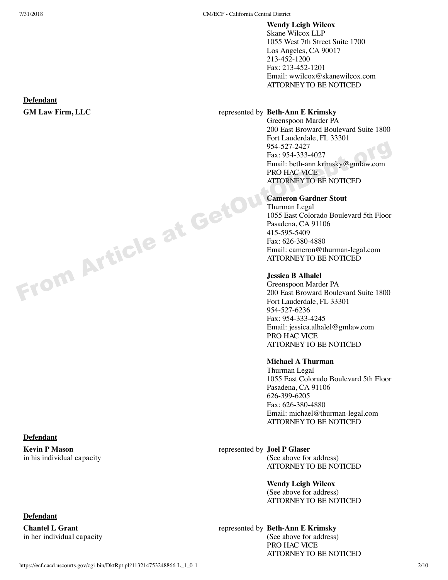# **Wendy Leigh Wilcox**

Skane Wilcox LLP 1055 West 7th Street Suite 1700 Los Angeles, CA 90017 213-452-1200 Fax: 213-452-1201 Email: wwilcox@skanewilcox.com ATTORNEY TO BE NOTICED

# **GM Law Firm, LLC** represented by **Beth-Ann E Krimsky**

Greenspoon Marder PA 200 East Broward Boulevard Suite 1800 Fort Lauderdale, FL 33301 954-527-2427 Fax: 954-333-4027 Email: beth-ann.krimsky@gmlaw.com PRO HAC VICE ATTORNEY TO BE NOTICED

# **Cameron Gardner Stout**

Thurman Legal 1055 East Colorado Boulevard 5th Floor Pasadena, CA 91106 415-595-5409 Fax: 626-380-4880 Email: cameron@thurman-legal.com ATTORNEY TO BE NOTICED

# **Jessica B Alhalel**

Greenspoon Marder PA 200 East Broward Boulevard Suite 1800 Fort Lauderdale, FL 33301 954-527-6236 Fax: 954-333-4245 Email: jessica.alhalel@gmlaw.com PRO HAC VICE ATTORNEY TO BE NOTICED

#### **Michael A Thurman**

Thurman Legal 1055 East Colorado Boulevard 5th Floor Pasadena, CA 91106 626-399-6205 Fax: 626-380-4880 Email: michael@thurman-legal.com ATTORNEY TO BE NOTICED

# represented by **Joel P Glaser**

(See above for address) ATTORNEY TO BE NOTICED

**Wendy Leigh Wilcox** 

(See above for address) ATTORNEY TO BE NOTICED

represented by **Beth-Ann E Krimsky**  (See above for address)

PRO HAC VICE ATTORNEY TO BE NOTICED

# **Defendant**

#### **Defendant**

**Kevin P Mason** in his individual capacity

# **Defendant**

**Chantel L Grant** in her individual capacity

From Article at GetOu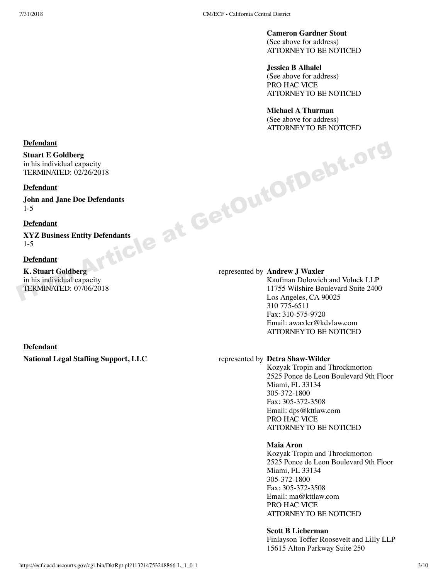**Cameron Gardner Stout** 

(See above for address) ATTORNEY TO BE NOTICED

**Jessica B Alhalel** 

(See above for address) PRO HAC VICE ATTORNEY TO BE NOTICED

**Michael A Thurman**  (See above for address) ATTORNEY TO BE NOTICED

# **Defendant**

**Stuart E Goldberg** in his individual capacity TERMINATED: 02/26/2018

#### **Defendant**

**John and Jane Doe Defendants** 1-5

#### **Defendant**

**XYZ Business Entity Defendants** 1-5

#### **Defendant**

**K. Stuart Goldberg** in his individual capacity TERMINATED: 07/06/2018

# **Defendant**

#### represented by **Andrew J Waxler**

Kaufman Dolowich and Voluck LLP 11755 Wilshire Boulevard Suite 2400 Los Angeles, CA 90025 310 775-6511 Fax: 310-575-9720 Email: awaxler@kdvlaw.com ATTORNEY TO BE NOTICED Befendant<br>
Stuart EGoldberg<br>
TERMINATED: 02/26/2018<br>
Defendant<br>
John and Jane Doe Defendant<br>
John and Jane Doe Defendant<br>
SYZ Business Entity Defendant<br>
XYZ Business Entity Defendant<br>
K. Stuart Goldberg<br>
in his individual

#### **National Legal Staffing Support, LLC** represented by **Detra Shaw-Wilder**

Kozyak Tropin and Throckmorton 2525 Ponce de Leon Boulevard 9th Floor Miami, FL 33134 305-372-1800 Fax: 305-372-3508 Email: dps@kttlaw.com PRO HAC VICE ATTORNEY TO BE NOTICED

#### **Maia Aron**

Kozyak Tropin and Throckmorton 2525 Ponce de Leon Boulevard 9th Floor Miami, FL 33134 305-372-1800 Fax: 305-372-3508 Email: ma@kttlaw.com PRO HAC VICE ATTORNEY TO BE NOTICED

#### **Scott B Lieberman**

Finlayson Toffer Roosevelt and Lilly LLP 15615 Alton Parkway Suite 250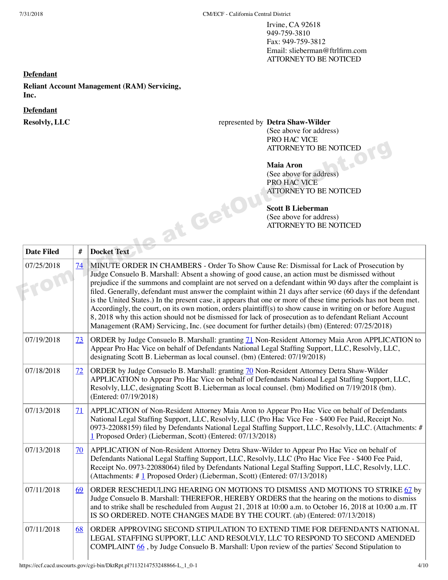Irvine, CA 92618 949-759-3810 Fax: 949-759-3812 Email: slieberman@ftrlfirm.com ATTORNEY TO BE NOTICED

# **Defendant**

**Reliant Account Management (RAM) Servicing, Inc.**

#### **Defendant**

# **Resolvly, LLC** represented by **Detra Shaw-Wilder**

(See above for address) PRO HAC VICE ATTORNEY TO BE NOTICED

# **Maia Aron**

(See above for address) PRO HAC VICE ATTORNEY TO BE NOTICED

# **Scott B Lieberman**

|                   |                 | <b>I NO HAU VIUL</b><br><b>ATTORNEY TO BE NOTICED</b><br>e at GetOI<br><b>Scott B Lieberman</b><br>(See above for address)<br>ATTORNEY TO BE NOTICED                                                                                                                                                                                                                                                                                                                                                                                                                                                                                                                                                                                                                                                                                                                    |
|-------------------|-----------------|-------------------------------------------------------------------------------------------------------------------------------------------------------------------------------------------------------------------------------------------------------------------------------------------------------------------------------------------------------------------------------------------------------------------------------------------------------------------------------------------------------------------------------------------------------------------------------------------------------------------------------------------------------------------------------------------------------------------------------------------------------------------------------------------------------------------------------------------------------------------------|
| <b>Date Filed</b> | #               | <b>Docket Text</b>                                                                                                                                                                                                                                                                                                                                                                                                                                                                                                                                                                                                                                                                                                                                                                                                                                                      |
| 07/25/2018        | $\overline{14}$ | MINUTE ORDER IN CHAMBERS - Order To Show Cause Re: Dismissal for Lack of Prosecution by<br>Judge Consuelo B. Marshall: Absent a showing of good cause, an action must be dismissed without<br>prejudice if the summons and complaint are not served on a defendant within 90 days after the complaint is<br>filed. Generally, defendant must answer the complaint within 21 days after service (60 days if the defendant<br>is the United States.) In the present case, it appears that one or more of these time periods has not been met.<br>Accordingly, the court, on its own motion, orders plaintiff(s) to show cause in writing on or before August<br>8, 2018 why this action should not be dismissed for lack of prosecution as to defendant Reliant Account<br>Management (RAM) Servicing, Inc. (see document for further details) (bm) (Entered: 07/25/2018) |
| 07/19/2018        | <u>73</u>       | ORDER by Judge Consuelo B. Marshall: granting 71 Non-Resident Attorney Maia Aron APPLICATION to<br>Appear Pro Hac Vice on behalf of Defendants National Legal Staffing Support, LLC, Resolvly, LLC,<br>designating Scott B. Lieberman as local counsel. (bm) (Entered: 07/19/2018)                                                                                                                                                                                                                                                                                                                                                                                                                                                                                                                                                                                      |
| 07/18/2018        | 72              | ORDER by Judge Consuelo B. Marshall: granting 70 Non-Resident Attorney Detra Shaw-Wilder<br>APPLICATION to Appear Pro Hac Vice on behalf of Defendants National Legal Staffing Support, LLC,<br>Resolvly, LLC, designating Scott B. Lieberman as local counsel. (bm) Modified on 7/19/2018 (bm).<br>(Entered: 07/19/2018)                                                                                                                                                                                                                                                                                                                                                                                                                                                                                                                                               |
| 07/13/2018        | 71              | APPLICATION of Non-Resident Attorney Maia Aron to Appear Pro Hac Vice on behalf of Defendants<br>National Legal Staffing Support, LLC, Resolvly, LLC (Pro Hac Vice Fee - \$400 Fee Paid, Receipt No.<br>0973-22088159) filed by Defendants National Legal Staffing Support, LLC, Resolvly, LLC. (Attachments: #<br>1 Proposed Order) (Lieberman, Scott) (Entered: 07/13/2018)                                                                                                                                                                                                                                                                                                                                                                                                                                                                                           |
| 07/13/2018        | 70              | APPLICATION of Non-Resident Attorney Detra Shaw-Wilder to Appear Pro Hac Vice on behalf of<br>Defendants National Legal Staffing Support, LLC, Resolvly, LLC (Pro Hac Vice Fee - \$400 Fee Paid,<br>Receipt No. 0973-22088064) filed by Defendants National Legal Staffing Support, LLC, Resolvly, LLC.<br>(Attachments: #1 Proposed Order) (Lieberman, Scott) (Entered: 07/13/2018)                                                                                                                                                                                                                                                                                                                                                                                                                                                                                    |
| 07/11/2018        | 69              | ORDER RESCHEDULING HEARING ON MOTIONS TO DISMISS AND MOTIONS TO STRIKE 67 by<br>Judge Consuelo B. Marshall: THEREFOR, HEREBY ORDERS that the hearing on the motions to dismiss<br>and to strike shall be rescheduled from August 21, 2018 at 10:00 a.m. to October 16, 2018 at 10:00 a.m. IT<br>IS SO ORDERED. NOTE CHANGES MADE BY THE COURT. (ab) (Entered: 07/13/2018)                                                                                                                                                                                                                                                                                                                                                                                                                                                                                               |
| 07/11/2018        | 68              | ORDER APPROVING SECOND STIPULATION TO EXTEND TIME FOR DEFENDANTS NATIONAL<br>LEGAL STAFFING SUPPORT, LLC AND RESOLVLY, LLC TO RESPOND TO SECOND AMENDED<br>COMPLAINT 66, by Judge Consuelo B. Marshall: Upon review of the parties' Second Stipulation to                                                                                                                                                                                                                                                                                                                                                                                                                                                                                                                                                                                                               |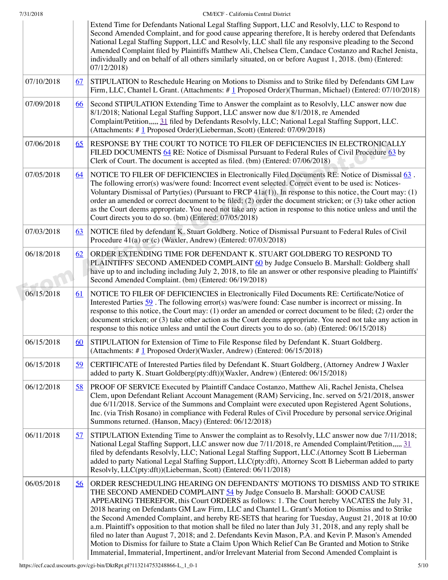|            |           | Extend Time for Defendants National Legal Staffing Support, LLC and Resolvly, LLC to Respond to<br>Second Amended Complaint, and for good cause appearing therefore, It is hereby ordered that Defendants<br>National Legal Staffing Support, LLC and Resolvly, LLC shall file any responsive pleading to the Second<br>Amended Complaint filed by Plaintiffs Matthew Ali, Chelsea Clem, Candace Costanzo and Rachel Jenista,<br>individually and on behalf of all others similarly situated, on or before August 1, 2018. (bm) (Entered:<br>07/12/2018                                                                                                                                                                                                                                                                                                                                                 |
|------------|-----------|---------------------------------------------------------------------------------------------------------------------------------------------------------------------------------------------------------------------------------------------------------------------------------------------------------------------------------------------------------------------------------------------------------------------------------------------------------------------------------------------------------------------------------------------------------------------------------------------------------------------------------------------------------------------------------------------------------------------------------------------------------------------------------------------------------------------------------------------------------------------------------------------------------|
| 07/10/2018 | 67        | STIPULATION to Reschedule Hearing on Motions to Dismiss and to Strike filed by Defendants GM Law<br>Firm, LLC, Chantel L Grant. (Attachments: #1 Proposed Order)(Thurman, Michael) (Entered: 07/10/2018)                                                                                                                                                                                                                                                                                                                                                                                                                                                                                                                                                                                                                                                                                                |
| 07/09/2018 | 66        | Second STIPULATION Extending Time to Answer the complaint as to Resolvly, LLC answer now due<br>8/1/2018; National Legal Staffing Support, LLC answer now due 8/1/2018, re Amended<br>Complaint/Petition,,,,, 31 filed by Defendants Resolvly, LLC; National Legal Staffing Support, LLC.<br>(Attachments: #1 Proposed Order)(Lieberman, Scott) (Entered: 07/09/2018)                                                                                                                                                                                                                                                                                                                                                                                                                                                                                                                                   |
| 07/06/2018 | 65        | RESPONSE BY THE COURT TO NOTICE TO FILER OF DEFICIENCIES IN ELECTRONICALLY<br>FILED DOCUMENTS 64 RE: Notice of Dismissal Pursuant to Federal Rules of Civil Procedure 63 by<br>Clerk of Court. The document is accepted as filed. (bm) (Entered: 07/06/2018)                                                                                                                                                                                                                                                                                                                                                                                                                                                                                                                                                                                                                                            |
| 07/05/2018 | <u>64</u> | NOTICE TO FILER OF DEFICIENCIES in Electronically Filed Documents RE: Notice of Dismissal 63.<br>The following error(s) was/were found: Incorrect event selected. Correct event to be used is: Notices-<br>Voluntary Dismissal of Party(ies) (Pursuant to FRCP $41a(1)$ ). In response to this notice, the Court may: (1)<br>order an amended or correct document to be filed; (2) order the document stricken; or (3) take other action<br>as the Court deems appropriate. You need not take any action in response to this notice unless and until the<br>Court directs you to do so. (bm) (Entered: 07/05/2018)                                                                                                                                                                                                                                                                                      |
| 07/03/2018 | <u>63</u> | NOTICE filed by defendant K. Stuart Goldberg. Notice of Dismissal Pursuant to Federal Rules of Civil<br>Procedure 41(a) or (c) (Waxler, Andrew) (Entered: 07/03/2018)                                                                                                                                                                                                                                                                                                                                                                                                                                                                                                                                                                                                                                                                                                                                   |
| 06/18/2018 | 62        | ORDER EXTENDING TIME FOR DEFENDANT K. STUART GOLDBERG TO RESPOND TO<br>PLAINTIFFS' SECOND AMENDED COMPLAINT 60 by Judge Consuelo B. Marshall: Goldberg shall<br>have up to and including including July 2, 2018, to file an answer or other responsive pleading to Plaintiffs'<br>Second Amended Complaint. (bm) (Entered: 06/19/2018)                                                                                                                                                                                                                                                                                                                                                                                                                                                                                                                                                                  |
| 06/15/2018 | <u>61</u> | NOTICE TO FILER OF DEFICIENCIES in Electronically Filed Documents RE: Certificate/Notice of<br>Interested Parties $59$ . The following error(s) was/were found: Case number is incorrect or missing. In<br>response to this notice, the Court may: (1) order an amended or correct document to be filed; (2) order the<br>document stricken; or (3) take other action as the Court deems appropriate. You need not take any action in<br>response to this notice unless and until the Court directs you to do so. (ab) (Entered: 06/15/2018)                                                                                                                                                                                                                                                                                                                                                            |
| 06/15/2018 | 60        | STIPULATION for Extension of Time to File Response filed by Defendant K. Stuart Goldberg.<br>(Attachments: #1 Proposed Order)(Waxler, Andrew) (Entered: 06/15/2018)                                                                                                                                                                                                                                                                                                                                                                                                                                                                                                                                                                                                                                                                                                                                     |
| 06/15/2018 | <u>59</u> | CERTIFICATE of Interested Parties filed by Defendant K. Stuart Goldberg, (Attorney Andrew J Waxler<br>added to party K. Stuart Goldberg(pty:dft))(Waxler, Andrew) (Entered: 06/15/2018)                                                                                                                                                                                                                                                                                                                                                                                                                                                                                                                                                                                                                                                                                                                 |
| 06/12/2018 | <u>58</u> | PROOF OF SERVICE Executed by Plaintiff Candace Costanzo, Matthew Ali, Rachel Jenista, Chelsea<br>Clem, upon Defendant Reliant Account Management (RAM) Servicing, Inc. served on 5/21/2018, answer<br>due 6/11/2018. Service of the Summons and Complaint were executed upon Registered Agent Solutions,<br>Inc. (via Trish Rosano) in compliance with Federal Rules of Civil Procedure by personal service. Original<br>Summons returned. (Hanson, Macy) (Entered: 06/12/2018)                                                                                                                                                                                                                                                                                                                                                                                                                         |
| 06/11/2018 | <u>57</u> | STIPULATION Extending Time to Answer the complaint as to Resolvly, LLC answer now due 7/11/2018;<br>National Legal Staffing Support, LLC answer now due 7/11/2018, re Amended Complaint/Petition,,,,, 31<br>filed by defendants Resolvly, LLC; National Legal Staffing Support, LLC.(Attorney Scott B Lieberman<br>added to party National Legal Staffing Support, LLC(pty:dft), Attorney Scott B Lieberman added to party<br>Resolvly, LLC(pty:dft))(Lieberman, Scott) (Entered: 06/11/2018)                                                                                                                                                                                                                                                                                                                                                                                                           |
| 06/05/2018 | <u>56</u> | ORDER RESCHEDULING HEARING ON DEFENDANTS' MOTIONS TO DISMISS AND TO STRIKE<br>THE SECOND AMENDED COMPLAINT 54 by Judge Consuelo B. Marshall: GOOD CAUSE<br>APPEARING THEREFOR, this Court ORDERS as follows: 1. The Court hereby VACATES the July 31,<br>2018 hearing on Defendants GM Law Firm, LLC and Chantel L. Grant's Motion to Dismiss and to Strike<br>the Second Amended Complaint, and hereby RE-SETS that hearing for Tuesday, August 21, 2018 at 10:00<br>a.m. Plaintiff's opposition to that motion shall be filed no later than July 31, 2018, and any reply shall be<br>filed no later than August 7, 2018; and 2. Defendants Kevin Mason, P.A. and Kevin P. Mason's Amended<br>Motion to Dismiss for failure to State a Claim Upon Which Relief Can Be Granted and Motion to Strike<br>Immaterial, Immaterial, Impertinent, and/or Irrelevant Material from Second Amended Complaint is |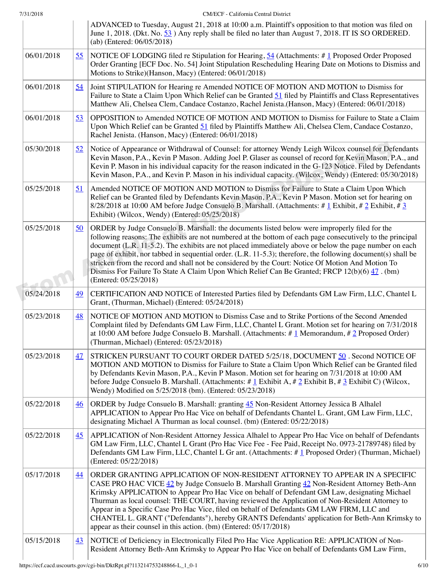|            |                 | ADVANCED to Tuesday, August 21, 2018 at 10:00 a.m. Plaintiff's opposition to that motion was filed on<br>June 1, 2018. (Dkt. No. 53) Any reply shall be filed no later than August 7, 2018. IT IS SO ORDERED.<br>(ab) (Entered: 06/05/2018)                                                                                                                                                                                                                                                                                                                                                                                                                           |
|------------|-----------------|-----------------------------------------------------------------------------------------------------------------------------------------------------------------------------------------------------------------------------------------------------------------------------------------------------------------------------------------------------------------------------------------------------------------------------------------------------------------------------------------------------------------------------------------------------------------------------------------------------------------------------------------------------------------------|
| 06/01/2018 | 55              | NOTICE OF LODGING filed re Stipulation for Hearing, $\underline{54}$ (Attachments: # 1 Proposed Order Proposed<br>Order Granting [ECF Doc. No. 54] Joint Stipulation Rescheduling Hearing Date on Motions to Dismiss and<br>Motions to Strike)(Hanson, Macy) (Entered: 06/01/2018)                                                                                                                                                                                                                                                                                                                                                                                    |
| 06/01/2018 | <u>54</u>       | Joint STIPULATION for Hearing re Amended NOTICE OF MOTION AND MOTION to Dismiss for<br>Failure to State a Claim Upon Which Relief can be Granted 51 filed by Plaintiffs and Class Representatives<br>Matthew Ali, Chelsea Clem, Candace Costanzo, Rachel Jenista. (Hanson, Macy) (Entered: 06/01/2018)                                                                                                                                                                                                                                                                                                                                                                |
| 06/01/2018 | 53              | OPPOSITION to Amended NOTICE OF MOTION AND MOTION to Dismiss for Failure to State a Claim<br>Upon Which Relief can be Granted 51 filed by Plaintiffs Matthew Ali, Chelsea Clem, Candace Costanzo,<br>Rachel Jenista. (Hanson, Macy) (Entered: 06/01/2018)                                                                                                                                                                                                                                                                                                                                                                                                             |
| 05/30/2018 | <u>52</u>       | Notice of Appearance or Withdrawal of Counsel: for attorney Wendy Leigh Wilcox counsel for Defendants<br>Kevin Mason, P.A., Kevin P Mason. Adding Joel P. Glaser as counsel of record for Kevin Mason, P.A., and<br>Kevin P. Mason in his individual capacity for the reason indicated in the G-123 Notice. Filed by Defendants<br>Kevin Mason, P.A., and Kevin P. Mason in his individual capacity. (Wilcox, Wendy) (Entered: 05/30/2018)                                                                                                                                                                                                                            |
| 05/25/2018 | <u>51</u>       | Amended NOTICE OF MOTION AND MOTION to Dismiss for Failure to State a Claim Upon Which<br>Relief can be Granted filed by Defendants Kevin Mason, P.A., Kevin P Mason. Motion set for hearing on<br>$8/28/2018$ at 10:00 AM before Judge Consuelo B. Marshall. (Attachments: # 1 Exhibit, # 2 Exhibit, # 3<br>Exhibit) (Wilcox, Wendy) (Entered: 05/25/2018)                                                                                                                                                                                                                                                                                                           |
| 05/25/2018 | 50              | ORDER by Judge Consuelo B. Marshall: the documents listed below were improperly filed for the<br>following reasons: The exhibits are not numbered at the bottom of each page consecutively to the principal<br>document (L.R. 11-5.2). The exhibits are not placed immediately above or below the page number on each<br>page of exhibit, nor tabbed in sequential order. (L.R. 11-5.3); therefore, the following document(s) shall be<br>stricken from the record and shall not be considered by the Court: Notice Of Motion And Motion To<br>Dismiss For Failure To State A Claim Upon Which Relief Can Be Granted; FRCP 12(b)(6) 47. (bm)<br>(Entered: 05/25/2018) |
| 05/24/2018 | 49              | CERTIFICATION AND NOTICE of Interested Parties filed by Defendants GM Law Firm, LLC, Chantel L<br>Grant, (Thurman, Michael) (Entered: 05/24/2018)                                                                                                                                                                                                                                                                                                                                                                                                                                                                                                                     |
| 05/23/2018 | <u>48</u>       | NOTICE OF MOTION AND MOTION to Dismiss Case and to Strike Portions of the Second Amended<br>Complaint filed by Defendants GM Law Firm, LLC, Chantel L Grant. Motion set for hearing on 7/31/2018<br>at 10:00 AM before Judge Consuelo B. Marshall. (Attachments: $\#$ 1 Memorandum, $\#$ 2 Proposed Order)<br>(Thurman, Michael) (Entered: 05/23/2018)                                                                                                                                                                                                                                                                                                                |
| 05/23/2018 | 47              | STRICKEN PURSUANT TO COURT ORDER DATED 5/25/18, DOCUMENT 50. Second NOTICE OF<br>MOTION AND MOTION to Dismiss for Failure to State a Claim Upon Which Relief can be Granted filed<br>by Defendants Kevin Mason, P.A., Kevin P Mason. Motion set for hearing on 7/31/2018 at 10:00 AM<br>before Judge Consuelo B. Marshall. (Attachments: # $\frac{1}{2}$ Exhibit A, # $\frac{2}{2}$ Exhibit B, # $\frac{3}{2}$ Exhibit C) (Wilcox,<br>Wendy) Modified on 5/25/2018 (bm). (Entered: 05/23/2018)                                                                                                                                                                        |
| 05/22/2018 | $\overline{46}$ | ORDER by Judge Consuelo B. Marshall: granting 45 Non-Resident Attorney Jessica B Alhalel<br>APPLICATION to Appear Pro Hac Vice on behalf of Defendants Chantel L. Grant, GM Law Firm, LLC,<br>designating Michael A Thurman as local counsel. (bm) (Entered: 05/22/2018)                                                                                                                                                                                                                                                                                                                                                                                              |
| 05/22/2018 | 45              | APPLICATION of Non-Resident Attorney Jessica Alhalel to Appear Pro Hac Vice on behalf of Defendants<br>GM Law Firm, LLC, Chantel L Grant (Pro Hac Vice Fee - Fee Paid, Receipt No. 0973-21789748) filed by<br>Defendants GM Law Firm, LLC, Chantel L Gr ant. (Attachments: #1 Proposed Order) (Thurman, Michael)<br>(Entered: 05/22/2018)                                                                                                                                                                                                                                                                                                                             |
| 05/17/2018 | 44              | ORDER GRANTING APPLICATION OF NON-RESIDENT ATTORNEY TO APPEAR IN A SPECIFIC<br>CASE PRO HAC VICE 42 by Judge Consuelo B. Marshall Granting 42 Non-Resident Attorney Beth-Ann<br>Krimsky APPLICATION to Appear Pro Hac Vice on behalf of Defendant GM Law, designating Michael<br>Thurman as local counsel: THE COURT, having reviewed the Application of Non-Resident Attorney to<br>Appear in a Specific Case Pro Hac Vice, filed on behalf of Defendants GM LAW FIRM, LLC and<br>CHANTEL L. GRANT ("Defendants"), hereby GRANTS Defendants' application for Beth-Ann Krimsky to<br>appear as their counsel in this action. (bm) (Entered: 05/17/2018)               |
| 05/15/2018 | 43              | NOTICE of Deficiency in Electronically Filed Pro Hac Vice Application RE: APPLICATION of Non-<br>Resident Attorney Beth-Ann Krimsky to Appear Pro Hac Vice on behalf of Defendants GM Law Firm,                                                                                                                                                                                                                                                                                                                                                                                                                                                                       |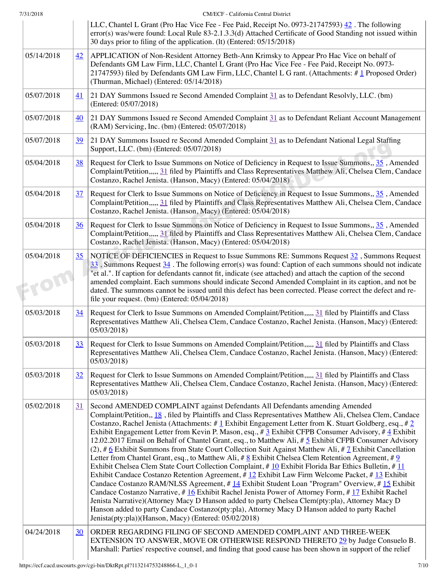| 7/31/2018          |                 | CM/ECF - California Central District                                                                                                                                                                                                                                                                                                                                                                                                                                                                                                                                                                                                                                                                                                                                                                                                                                                                                                                                                                                                                                                                                                                                                                                                                                                                                                                                                                                                                                      |
|--------------------|-----------------|---------------------------------------------------------------------------------------------------------------------------------------------------------------------------------------------------------------------------------------------------------------------------------------------------------------------------------------------------------------------------------------------------------------------------------------------------------------------------------------------------------------------------------------------------------------------------------------------------------------------------------------------------------------------------------------------------------------------------------------------------------------------------------------------------------------------------------------------------------------------------------------------------------------------------------------------------------------------------------------------------------------------------------------------------------------------------------------------------------------------------------------------------------------------------------------------------------------------------------------------------------------------------------------------------------------------------------------------------------------------------------------------------------------------------------------------------------------------------|
|                    |                 | LLC, Chantel L Grant (Pro Hac Vice Fee - Fee Paid, Receipt No. 0973-21747593) 42. The following<br>error(s) was/were found: Local Rule 83-2.1.3.3(d) Attached Certificate of Good Standing not issued within<br>30 days prior to filing of the application. (lt) (Entered: 05/15/2018)                                                                                                                                                                                                                                                                                                                                                                                                                                                                                                                                                                                                                                                                                                                                                                                                                                                                                                                                                                                                                                                                                                                                                                                    |
| 05/14/2018         | 42              | APPLICATION of Non-Resident Attorney Beth-Ann Krimsky to Appear Pro Hac Vice on behalf of<br>Defendants GM Law Firm, LLC, Chantel L Grant (Pro Hac Vice Fee - Fee Paid, Receipt No. 0973-<br>21747593) filed by Defendants GM Law Firm, LLC, Chantel L G rant. (Attachments: $\#$ 1 Proposed Order)<br>(Thurman, Michael) (Entered: 05/14/2018)                                                                                                                                                                                                                                                                                                                                                                                                                                                                                                                                                                                                                                                                                                                                                                                                                                                                                                                                                                                                                                                                                                                           |
| 05/07/2018         | 41              | 21 DAY Summons Issued re Second Amended Complaint 31 as to Defendant Resolvly, LLC. (bm)<br>(Entered: 05/07/2018)                                                                                                                                                                                                                                                                                                                                                                                                                                                                                                                                                                                                                                                                                                                                                                                                                                                                                                                                                                                                                                                                                                                                                                                                                                                                                                                                                         |
| 05/07/2018         | 40              | 21 DAY Summons Issued re Second Amended Complaint 31 as to Defendant Reliant Account Management<br>(RAM) Servicing, Inc. (bm) (Entered: 05/07/2018)                                                                                                                                                                                                                                                                                                                                                                                                                                                                                                                                                                                                                                                                                                                                                                                                                                                                                                                                                                                                                                                                                                                                                                                                                                                                                                                       |
| 05/07/2018         | <u>39</u>       | 21 DAY Summons Issued re Second Amended Complaint 31 as to Defendant National Legal Staffing<br>Support, LLC. (bm) (Entered: 05/07/2018)                                                                                                                                                                                                                                                                                                                                                                                                                                                                                                                                                                                                                                                                                                                                                                                                                                                                                                                                                                                                                                                                                                                                                                                                                                                                                                                                  |
| 05/04/2018         | <u>38</u>       | Request for Clerk to Issue Summons on Notice of Deficiency in Request to Issue Summons, 35, Amended<br>Complaint/Petition,,,,, 31 filed by Plaintiffs and Class Representatives Matthew Ali, Chelsea Clem, Candace<br>Costanzo, Rachel Jenista. (Hanson, Macy) (Entered: 05/04/2018)                                                                                                                                                                                                                                                                                                                                                                                                                                                                                                                                                                                                                                                                                                                                                                                                                                                                                                                                                                                                                                                                                                                                                                                      |
| 05/04/2018         | 37              | Request for Clerk to Issue Summons on Notice of Deficiency in Request to Issue Summons, 35, Amended<br>Complaint/Petition,,,,, 31 filed by Plaintiffs and Class Representatives Matthew Ali, Chelsea Clem, Candace<br>Costanzo, Rachel Jenista. (Hanson, Macy) (Entered: 05/04/2018)                                                                                                                                                                                                                                                                                                                                                                                                                                                                                                                                                                                                                                                                                                                                                                                                                                                                                                                                                                                                                                                                                                                                                                                      |
| 05/04/2018         | 36              | Request for Clerk to Issue Summons on Notice of Deficiency in Request to Issue Summons, 35, Amended<br>Complaint/Petition,,,,, 31 filed by Plaintiffs and Class Representatives Matthew Ali, Chelsea Clem, Candace<br>Costanzo, Rachel Jenista. (Hanson, Macy) (Entered: 05/04/2018)                                                                                                                                                                                                                                                                                                                                                                                                                                                                                                                                                                                                                                                                                                                                                                                                                                                                                                                                                                                                                                                                                                                                                                                      |
| 05/04/2018<br>EYON | 35 <sub>1</sub> | NOTICE OF DEFICIENCIES in Request to Issue Summons RE: Summons Request $\frac{32}{2}$ , Summons Request<br>$\frac{33}{2}$ , Summons Request $\frac{34}{2}$ . The following error(s) was found: Caption of each summons should not indicate<br>"et al.". If caption for defendants cannot fit, indicate (see attached) and attach the caption of the second<br>amended complaint. Each summons should indicate Second Amended Complaint in its caption, and not be<br>dated. The summons cannot be issued until this defect has been corrected. Please correct the defect and re-<br>file your request. (bm) (Entered: 05/04/2018)                                                                                                                                                                                                                                                                                                                                                                                                                                                                                                                                                                                                                                                                                                                                                                                                                                         |
| 05/03/2018         | 34              | Request for Clerk to Issue Summons on Amended Complaint/Petition,,,,, 31 filed by Plaintiffs and Class<br>Representatives Matthew Ali, Chelsea Clem, Candace Costanzo, Rachel Jenista. (Hanson, Macy) (Entered:<br>05/03/2018)                                                                                                                                                                                                                                                                                                                                                                                                                                                                                                                                                                                                                                                                                                                                                                                                                                                                                                                                                                                                                                                                                                                                                                                                                                            |
| 05/03/2018         | 33              | Request for Clerk to Issue Summons on Amended Complaint/Petition,,,,, 31 filed by Plaintiffs and Class<br>Representatives Matthew Ali, Chelsea Clem, Candace Costanzo, Rachel Jenista. (Hanson, Macy) (Entered:<br>05/03/2018)                                                                                                                                                                                                                                                                                                                                                                                                                                                                                                                                                                                                                                                                                                                                                                                                                                                                                                                                                                                                                                                                                                                                                                                                                                            |
| 05/03/2018         | 32              | Request for Clerk to Issue Summons on Amended Complaint/Petition,,,,, 31 filed by Plaintiffs and Class<br>Representatives Matthew Ali, Chelsea Clem, Candace Costanzo, Rachel Jenista. (Hanson, Macy) (Entered:<br>05/03/2018)                                                                                                                                                                                                                                                                                                                                                                                                                                                                                                                                                                                                                                                                                                                                                                                                                                                                                                                                                                                                                                                                                                                                                                                                                                            |
| 05/02/2018         | 31              | Second AMENDED COMPLAINT against Defendants All Defendants amending Amended<br>Complaint/Petition,, 18, filed by Plaintiffs and Class Representatives Matthew Ali, Chelsea Clem, Candace<br>Costanzo, Rachel Jenista (Attachments: #1 Exhibit Engagement Letter from K. Stuart Goldberg, esq., #2<br>Exhibit Engagement Letter from Kevin P. Mason, esq., # $\frac{3}{2}$ Exhibit CFPB Consumer Advisory, # $\frac{4}{3}$ Exhibit<br>12.02.2017 Email on Behalf of Chantel Grant, esq., to Matthew Ali, #5 Exhibit CFPB Consumer Advisory<br>$(2)$ , # 6 Exhibit Summons from State Court Collection Suit Against Matthew Ali, # 7 Exhibit Cancellation<br>Letter from Chantel Grant, esq., to Matthew Ali, # $\underline{8}$ Exhibit Chelsea Clem Retention Agreement, # $\underline{9}$<br>Exhibit Chelsea Clem State Court Collection Complaint, #10 Exhibit Florida Bar Ethics Bulletin, #11<br>Exhibit Candace Costanzo Retention Agreement, # 12 Exhibit Law Firm Welcome Packet, # 13 Exhibit<br>Candace Costanzo RAM/NLSS Agreement, # 14 Exhibit Student Loan "Program" Overview, # 15 Exhibit<br>Candace Costanzo Narrative, #16 Exhibit Rachel Jenista Power of Attorney Form, #17 Exhibit Rachel<br>Jenista Narrative)(Attorney Macy D Hanson added to party Chelsea Clem(pty:pla), Attorney Macy D<br>Hanson added to party Candace Costanzo(pty:pla), Attorney Macy D Hanson added to party Rachel<br>Jenista(pty:pla))(Hanson, Macy) (Entered: 05/02/2018) |
| 04/24/2018         | 30              | ORDER REGARDING FILING OF SECOND AMENDED COMPLAINT AND THREE-WEEK<br>EXTENSION TO ANSWER, MOVE OR OTHERWISE RESPOND THERETO 29 by Judge Consuelo B.<br>Marshall: Parties' respective counsel, and finding that good cause has been shown in support of the relief                                                                                                                                                                                                                                                                                                                                                                                                                                                                                                                                                                                                                                                                                                                                                                                                                                                                                                                                                                                                                                                                                                                                                                                                         |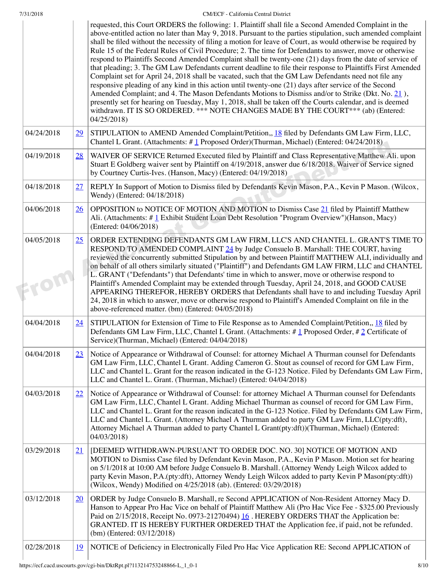| 7/31/2018 |  |
|-----------|--|

|                    |                 | requested, this Court ORDERS the following: 1. Plaintiff shall file a Second Amended Complaint in the<br>above-entitled action no later than May 9, 2018. Pursuant to the parties stipulation, such amended complaint<br>shall be filed without the necessity of filing a motion for leave of Court, as would otherwise be required by<br>Rule 15 of the Federal Rules of Civil Procedure; 2. The time for Defendants to answer, move or otherwise<br>respond to Plaintiffs Second Amended Complaint shall be twenty-one (21) days from the date of service of<br>that pleading; 3. The GM Law Defendants current deadline to file their response to Plaintiffs First Amended<br>Complaint set for April 24, 2018 shall be vacated, such that the GM Law Defendants need not file any<br>responsive pleading of any kind in this action until twenty-one (21) days after service of the Second<br>Amended Complaint; and 4. The Mason Defendants Motions to Dismiss and/or to Strike (Dkt. No. 21),<br>presently set for hearing on Tuesday, May 1, 2018, shall be taken off the Courts calendar, and is deemed<br>withdrawn. IT IS SO ORDERED. *** NOTE CHANGES MADE BY THE COURT*** (ab) (Entered:<br>04/25/2018) |
|--------------------|-----------------|---------------------------------------------------------------------------------------------------------------------------------------------------------------------------------------------------------------------------------------------------------------------------------------------------------------------------------------------------------------------------------------------------------------------------------------------------------------------------------------------------------------------------------------------------------------------------------------------------------------------------------------------------------------------------------------------------------------------------------------------------------------------------------------------------------------------------------------------------------------------------------------------------------------------------------------------------------------------------------------------------------------------------------------------------------------------------------------------------------------------------------------------------------------------------------------------------------------------|
| 04/24/2018         | $\overline{29}$ | STIPULATION to AMEND Amended Complaint/Petition,, 18 filed by Defendants GM Law Firm, LLC,<br>Chantel L Grant. (Attachments: #1 Proposed Order)(Thurman, Michael) (Entered: 04/24/2018)                                                                                                                                                                                                                                                                                                                                                                                                                                                                                                                                                                                                                                                                                                                                                                                                                                                                                                                                                                                                                             |
| 04/19/2018         | 28              | WAIVER OF SERVICE Returned Executed filed by Plaintiff and Class Representative Matthew Ali. upon<br>Stuart E Goldberg waiver sent by Plaintiff on 4/19/2018, answer due 6/18/2018. Waiver of Service signed<br>by Courtney Curtis-Ives. (Hanson, Macy) (Entered: 04/19/2018)                                                                                                                                                                                                                                                                                                                                                                                                                                                                                                                                                                                                                                                                                                                                                                                                                                                                                                                                       |
| 04/18/2018         | 27              | REPLY In Support of Motion to Dismiss filed by Defendants Kevin Mason, P.A., Kevin P Mason. (Wilcox,<br>Wendy) (Entered: 04/18/2018)                                                                                                                                                                                                                                                                                                                                                                                                                                                                                                                                                                                                                                                                                                                                                                                                                                                                                                                                                                                                                                                                                |
| 04/06/2018         | 26              | OPPOSITION to NOTICE OF MOTION AND MOTION to Dismiss Case 21 filed by Plaintiff Matthew<br>Ali. (Attachments: # 1 Exhibit Student Loan Debt Resolution "Program Overview")(Hanson, Macy)<br>(Entered: 04/06/2018)                                                                                                                                                                                                                                                                                                                                                                                                                                                                                                                                                                                                                                                                                                                                                                                                                                                                                                                                                                                                   |
| 04/05/2018<br>EFON | 25              | ORDER EXTENDING DEFENDANTS GM LAW FIRM, LLC'S AND CHANTEL L. GRANT'S TIME TO<br>RESPOND TO AMENDED COMPLAINT 24 by Judge Consuelo B. Marshall: THE COURT, having<br>reviewed the concurrently submitted Stipulation by and between Plaintiff MATTHEW ALI, individually and<br>on behalf of all others similarly situated ("Plaintiff") and Defendants GM LAW FIRM, LLC and CHANTEL<br>L. GRANT ("Defendants") that Defendants' time in which to answer, move or otherwise respond to<br>Plaintiff's Amended Complaint may be extended through Tuesday, April 24, 2018, and GOOD CAUSE<br>APPEARING THEREFOR, HEREBY ORDERS that Defendants shall have to and including Tuesday April<br>24, 2018 in which to answer, move or otherwise respond to Plaintiff's Amended Complaint on file in the<br>above-referenced matter. (bm) (Entered: 04/05/2018)                                                                                                                                                                                                                                                                                                                                                               |
| 04/04/2018         | 24              | STIPULATION for Extension of Time to File Response as to Amended Complaint/Petition,, $18$ filed by<br>Defendants GM Law Firm, LLC, Chantel L Grant. (Attachments: # 1 Proposed Order, # 2 Certificate of<br>Service)(Thurman, Michael) (Entered: 04/04/2018)                                                                                                                                                                                                                                                                                                                                                                                                                                                                                                                                                                                                                                                                                                                                                                                                                                                                                                                                                       |
| 04/04/2018         | 23              | Notice of Appearance or Withdrawal of Counsel: for attorney Michael A Thurman counsel for Defendants<br>GM Law Firm, LLC, Chantel L Grant. Adding Cameron G. Stout as counsel of record for GM Law Firm,<br>LLC and Chantel L. Grant for the reason indicated in the G-123 Notice. Filed by Defendants GM Law Firm,<br>LLC and Chantel L. Grant. (Thurman, Michael) (Entered: 04/04/2018)                                                                                                                                                                                                                                                                                                                                                                                                                                                                                                                                                                                                                                                                                                                                                                                                                           |
| 04/03/2018         | 22              | Notice of Appearance or Withdrawal of Counsel: for attorney Michael A Thurman counsel for Defendants<br>GM Law Firm, LLC, Chantel L Grant. Adding Michael Thurman as counsel of record for GM Law Firm,<br>LLC and Chantel L. Grant for the reason indicated in the G-123 Notice. Filed by Defendants GM Law Firm,<br>LLC and Chantel L. Grant. (Attorney Michael A Thurman added to party GM Law Firm, LLC(pty:dft),<br>Attorney Michael A Thurman added to party Chantel L Grant(pty:dft))(Thurman, Michael) (Entered:<br>04/03/2018)                                                                                                                                                                                                                                                                                                                                                                                                                                                                                                                                                                                                                                                                             |
| 03/29/2018         | 21              | [DEEMED WITHDRAWN-PURSUANT TO ORDER DOC. NO. 30] NOTICE OF MOTION AND<br>MOTION to Dismiss Case filed by Defendant Kevin Mason, P.A., Kevin P Mason. Motion set for hearing<br>on 5/1/2018 at 10:00 AM before Judge Consuelo B. Marshall. (Attorney Wendy Leigh Wilcox added to<br>party Kevin Mason, P.A.(pty:dft), Attorney Wendy Leigh Wilcox added to party Kevin P Mason(pty:dft))<br>(Wilcox, Wendy) Modified on 4/25/2018 (ab). (Entered: 03/29/2018)                                                                                                                                                                                                                                                                                                                                                                                                                                                                                                                                                                                                                                                                                                                                                        |
| 03/12/2018         | 20              | ORDER by Judge Consuelo B. Marshall, re Second APPLICATION of Non-Resident Attorney Macy D.<br>Hanson to Appear Pro Hac Vice on behalf of Plaintiff Matthew Ali (Pro Hac Vice Fee - \$325.00 Previously<br>Paid on 2/15/2018, Receipt No. 0973-21270494) 16. HEREBY ORDERS THAT the Application be:<br>GRANTED. IT IS HEREBY FURTHER ORDERED THAT the Application fee, if paid, not be refunded.<br>(bm) (Entered: $03/12/2018$ )                                                                                                                                                                                                                                                                                                                                                                                                                                                                                                                                                                                                                                                                                                                                                                                   |
| 02/28/2018         | <u> 19</u>      | NOTICE of Deficiency in Electronically Filed Pro Hac Vice Application RE: Second APPLICATION of                                                                                                                                                                                                                                                                                                                                                                                                                                                                                                                                                                                                                                                                                                                                                                                                                                                                                                                                                                                                                                                                                                                     |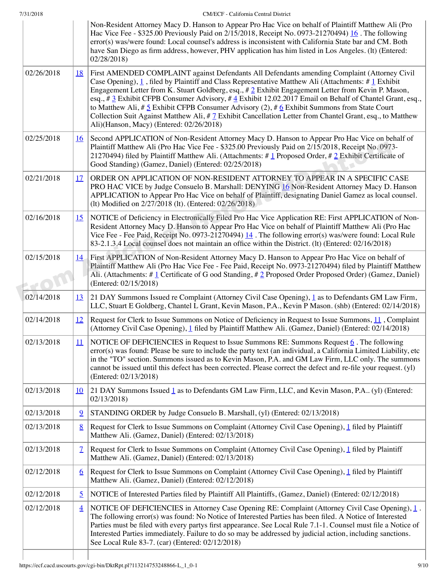|  | 7/31/2018 |
|--|-----------|

| 7/31/2018 | CM/ECF - California Central District |
|-----------|--------------------------------------|

|            |                | Non-Resident Attorney Macy D. Hanson to Appear Pro Hac Vice on behalf of Plaintiff Matthew Ali (Pro<br>Hac Vice Fee - \$325.00 Previously Paid on 2/15/2018, Receipt No. 0973-21270494) 16. The following<br>error(s) was/were found: Local counsel's address is inconsistent with California State bar and CM. Both<br>have San Diego as firm address, however, PHV application has him listed in Los Angeles. (It) (Entered:<br>02/28/2018)                                                                                                                                                                                                                                                                                           |
|------------|----------------|-----------------------------------------------------------------------------------------------------------------------------------------------------------------------------------------------------------------------------------------------------------------------------------------------------------------------------------------------------------------------------------------------------------------------------------------------------------------------------------------------------------------------------------------------------------------------------------------------------------------------------------------------------------------------------------------------------------------------------------------|
| 02/26/2018 | <u>18</u>      | First AMENDED COMPLAINT against Defendants All Defendants amending Complaint (Attorney Civil<br>Case Opening), $\underline{1}$ , filed by Plaintiff and Class Representative Matthew Ali (Attachments: # $\underline{1}$ Exhibit<br>Engagement Letter from K. Stuart Goldberg, esq., # 2 Exhibit Engagement Letter from Kevin P. Mason,<br>esq., # $\frac{3}{2}$ Exhibit CFPB Consumer Advisory, # $\frac{4}{2}$ Exhibit 12.02.2017 Email on Behalf of Chantel Grant, esq.,<br>to Matthew Ali, # 5 Exhibit CFPB Consumer Advisory (2), # 6 Exhibit Summons from State Court<br>Collection Suit Against Matthew Ali, $\#$ Z Exhibit Cancellation Letter from Chantel Grant, esq., to Matthew<br>Ali)(Hanson, Macy) (Entered: 02/26/2018) |
| 02/25/2018 | <u>16</u>      | Second APPLICATION of Non-Resident Attorney Macy D. Hanson to Appear Pro Hac Vice on behalf of<br>Plaintiff Matthew Ali (Pro Hac Vice Fee - \$325.00 Previously Paid on 2/15/2018, Receipt No. 0973-<br>21270494) filed by Plaintiff Matthew Ali. (Attachments: #1 Proposed Order, #2 Exhibit Certificate of<br>Good Standing) (Gamez, Daniel) (Entered: 02/25/2018)                                                                                                                                                                                                                                                                                                                                                                    |
| 02/21/2018 | 17             | ORDER ON APPLICATION OF NON-RESIDENT ATTORNEY TO APPEAR IN A SPECIFIC CASE<br>PRO HAC VICE by Judge Consuelo B. Marshall: DENYING 16 Non-Resident Attorney Macy D. Hanson<br>APPLICATION to Appear Pro Hac Vice on behalf of Plaintiff, designating Daniel Gamez as local counsel.<br>(lt) Modified on 2/27/2018 (lt). (Entered: 02/26/2018)                                                                                                                                                                                                                                                                                                                                                                                            |
| 02/16/2018 | 15             | NOTICE of Deficiency in Electronically Filed Pro Hac Vice Application RE: First APPLICATION of Non-<br>Resident Attorney Macy D. Hanson to Appear Pro Hac Vice on behalf of Plaintiff Matthew Ali (Pro Hac<br>Vice Fee - Fee Paid, Receipt No. 0973-21270494) $14$ . The following error(s) was/were found: Local Rule<br>83-2.1.3.4 Local counsel does not maintain an office within the District. (It) (Entered: 02/16/2018)                                                                                                                                                                                                                                                                                                          |
| 02/15/2018 | 14             | First APPLICATION of Non-Resident Attorney Macy D. Hanson to Appear Pro Hac Vice on behalf of<br>Plaintiff Matthew Ali (Pro Hac Vice Fee - Fee Paid, Receipt No. 0973-21270494) filed by Plaintiff Matthew<br>Ali. (Attachments: $\#$ 1 Certificate of G ood Standing, $\#$ 2 Proposed Order Proposed Order) (Gamez, Daniel)<br>(Entered: 02/15/2018)                                                                                                                                                                                                                                                                                                                                                                                   |
| 02/14/2018 | 13             | 21 DAY Summons Issued re Complaint (Attorney Civil Case Opening), 1 as to Defendants GM Law Firm,<br>LLC, Stuart E Goldberg, Chantel L Grant, Kevin Mason, P.A., Kevin P Mason. (shb) (Entered: 02/14/2018)                                                                                                                                                                                                                                                                                                                                                                                                                                                                                                                             |
| 02/14/2018 | <u>12</u>      | Request for Clerk to Issue Summons on Notice of Deficiency in Request to Issue Summons, 11, Complaint<br>(Attorney Civil Case Opening), 1 filed by Plaintiff Matthew Ali. (Gamez, Daniel) (Entered: 02/14/2018)                                                                                                                                                                                                                                                                                                                                                                                                                                                                                                                         |
| 02/13/2018 | 11             | NOTICE OF DEFICIENCIES in Request to Issue Summons RE: Summons Request $6$ . The following<br>error(s) was found: Please be sure to include the party text (an individual, a California Limited Liability, etc<br>in the "TO" section. Summons issued as to Kevin Mason, P.A. and GM Law Firm, LLC only. The summons<br>cannot be issued until this defect has been corrected. Please correct the defect and re-file your request. (yl)<br>(Entered: 02/13/2018)                                                                                                                                                                                                                                                                        |
| 02/13/2018 | 10             | 21 DAY Summons Issued 1 as to Defendants GM Law Firm, LLC, and Kevin Mason, P.A (yl) (Entered:<br>02/13/2018                                                                                                                                                                                                                                                                                                                                                                                                                                                                                                                                                                                                                            |
| 02/13/2018 | $\overline{9}$ | STANDING ORDER by Judge Consuelo B. Marshall, (yl) (Entered: 02/13/2018)                                                                                                                                                                                                                                                                                                                                                                                                                                                                                                                                                                                                                                                                |
| 02/13/2018 | 8              | Request for Clerk to Issue Summons on Complaint (Attorney Civil Case Opening), 1 filed by Plaintiff<br>Matthew Ali. (Gamez, Daniel) (Entered: 02/13/2018)                                                                                                                                                                                                                                                                                                                                                                                                                                                                                                                                                                               |
| 02/13/2018 | $\mathcal{I}$  | Request for Clerk to Issue Summons on Complaint (Attorney Civil Case Opening), 1 filed by Plaintiff<br>Matthew Ali. (Gamez, Daniel) (Entered: 02/13/2018)                                                                                                                                                                                                                                                                                                                                                                                                                                                                                                                                                                               |
| 02/12/2018 | 6              | Request for Clerk to Issue Summons on Complaint (Attorney Civil Case Opening), 1 filed by Plaintiff<br>Matthew Ali. (Gamez, Daniel) (Entered: 02/12/2018)                                                                                                                                                                                                                                                                                                                                                                                                                                                                                                                                                                               |
| 02/12/2018 | $\overline{2}$ | NOTICE of Interested Parties filed by Plaintiff All Plaintiffs, (Gamez, Daniel) (Entered: 02/12/2018)                                                                                                                                                                                                                                                                                                                                                                                                                                                                                                                                                                                                                                   |
| 02/12/2018 | $\overline{4}$ | NOTICE OF DEFICIENCIES in Attorney Case Opening RE: Complaint (Attorney Civil Case Opening), 1.<br>The following error(s) was found: No Notice of Interested Parties has been filed. A Notice of Interested<br>Parties must be filed with every partys first appearance. See Local Rule 7.1-1. Counsel must file a Notice of<br>Interested Parties immediately. Failure to do so may be addressed by judicial action, including sanctions.<br>See Local Rule 83-7. (car) (Entered: 02/12/2018)                                                                                                                                                                                                                                          |
|            |                |                                                                                                                                                                                                                                                                                                                                                                                                                                                                                                                                                                                                                                                                                                                                         |